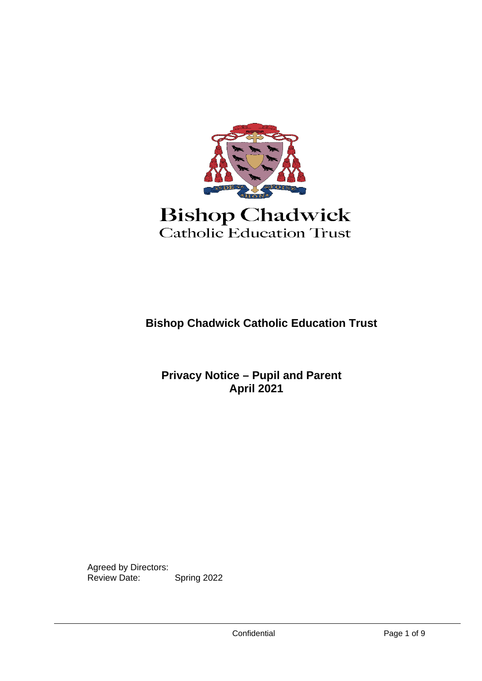

# Catholic Education Trust

**Bishop Chadwick Catholic Education Trust**

 **Privacy Notice – Pupil and Parent April 2021**

Agreed by Directors: Review Date: Spring 2022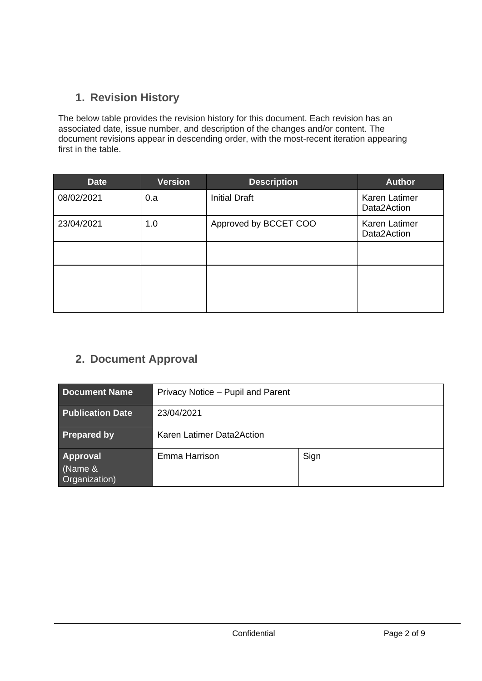# **1. Revision History**

The below table provides the revision history for this document. Each revision has an associated date, issue number, and description of the changes and/or content. The document revisions appear in descending order, with the most-recent iteration appearing first in the table.

| <b>Date</b> | <b>Version</b> | <b>Description</b>    | <b>Author</b>                       |
|-------------|----------------|-----------------------|-------------------------------------|
| 08/02/2021  | 0.a            | <b>Initial Draft</b>  | <b>Karen Latimer</b><br>Data2Action |
| 23/04/2021  | 1.0            | Approved by BCCET COO | <b>Karen Latimer</b><br>Data2Action |
|             |                |                       |                                     |
|             |                |                       |                                     |
|             |                |                       |                                     |

## **2. Document Approval**

| <b>Document Name</b>                 | Privacy Notice – Pupil and Parent |      |  |
|--------------------------------------|-----------------------------------|------|--|
| <b>Publication Date</b>              | 23/04/2021                        |      |  |
| <b>Prepared by</b>                   | Karen Latimer Data2Action         |      |  |
| Approval<br>(Name &<br>Organization) | Emma Harrison                     | Sign |  |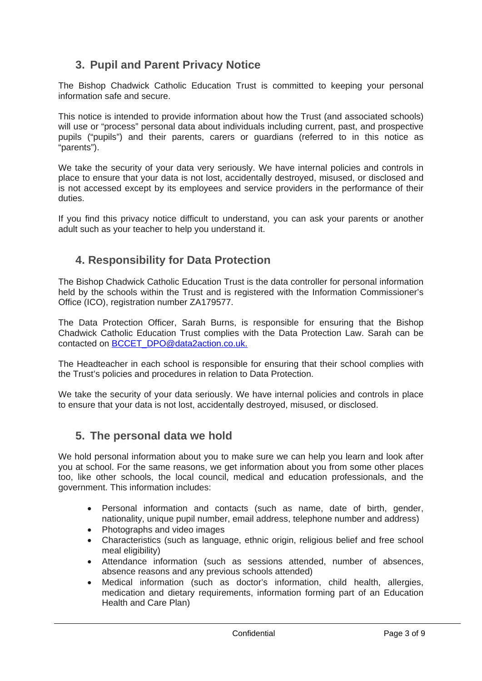## **3. Pupil and Parent Privacy Notice**

The Bishop Chadwick Catholic Education Trust is committed to keeping your personal information safe and secure.

This notice is intended to provide information about how the Trust (and associated schools) will use or "process" personal data about individuals including current, past, and prospective pupils ("pupils") and their parents, carers or guardians (referred to in this notice as "parents").

We take the security of your data very seriously. We have internal policies and controls in place to ensure that your data is not lost, accidentally destroyed, misused, or disclosed and is not accessed except by its employees and service providers in the performance of their duties.

If you find this privacy notice difficult to understand, you can ask your parents or another adult such as your teacher to help you understand it.

#### **4. Responsibility for Data Protection**

The Bishop Chadwick Catholic Education Trust is the data controller for personal information held by the schools within the Trust and is registered with the Information Commissioner's Office (ICO), registration number ZA179577.

The Data Protection Officer, Sarah Burns, is responsible for ensuring that the Bishop Chadwick Catholic Education Trust complies with the Data Protection Law. Sarah can be contacted on [BCCET\\_DPO@data2action.co.uk.](mailto:BCCET_DPO@data2action.co.uk)

The Headteacher in each school is responsible for ensuring that their school complies with the Trust's policies and procedures in relation to Data Protection.

We take the security of your data seriously. We have internal policies and controls in place to ensure that your data is not lost, accidentally destroyed, misused, or disclosed.

#### **5. The personal data we hold**

We hold personal information about you to make sure we can help you learn and look after you at school. For the same reasons, we get information about you from some other places too, like other schools, the local council, medical and education professionals, and the government. This information includes:

- Personal information and contacts (such as name, date of birth, gender, nationality, unique pupil number, email address, telephone number and address)
- Photographs and video images
- Characteristics (such as language, ethnic origin, religious belief and free school meal eligibility)
- Attendance information (such as sessions attended, number of absences, absence reasons and any previous schools attended)
- Medical information (such as doctor's information, child health, allergies, medication and dietary requirements, information forming part of an Education Health and Care Plan)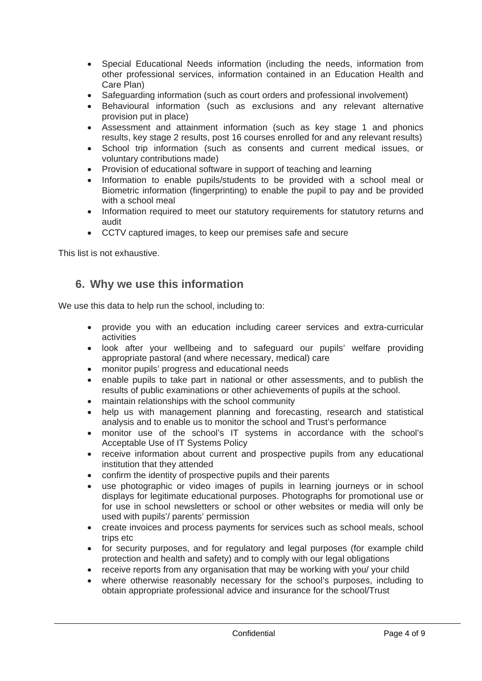- Special Educational Needs information (including the needs, information from other professional services, information contained in an Education Health and Care Plan)
- Safeguarding information (such as court orders and professional involvement)
- Behavioural information (such as exclusions and any relevant alternative provision put in place)
- Assessment and attainment information (such as key stage 1 and phonics results, key stage 2 results, post 16 courses enrolled for and any relevant results)
- School trip information (such as consents and current medical issues, or voluntary contributions made)
- Provision of educational software in support of teaching and learning
- Information to enable pupils/students to be provided with a school meal or Biometric information (fingerprinting) to enable the pupil to pay and be provided with a school meal
- Information required to meet our statutory requirements for statutory returns and audit
- CCTV captured images, to keep our premises safe and secure

This list is not exhaustive.

#### **6. Why we use this information**

We use this data to help run the school, including to:

- provide you with an education including career services and extra-curricular activities
- look after your wellbeing and to safeguard our pupils' welfare providing appropriate pastoral (and where necessary, medical) care
- monitor pupils' progress and educational needs
- enable pupils to take part in national or other assessments, and to publish the results of public examinations or other achievements of pupils at the school.
- maintain relationships with the school community
- help us with management planning and forecasting, research and statistical analysis and to enable us to monitor the school and Trust's performance
- monitor use of the school's IT systems in accordance with the school's Acceptable Use of IT Systems Policy
- receive information about current and prospective pupils from any educational institution that they attended
- confirm the identity of prospective pupils and their parents
- use photographic or video images of pupils in learning journeys or in school displays for legitimate educational purposes. Photographs for promotional use or for use in school newsletters or school or other websites or media will only be used with pupils'/ parents' permission
- create invoices and process payments for services such as school meals, school trips etc
- for security purposes, and for regulatory and legal purposes (for example child protection and health and safety) and to comply with our legal obligations
- receive reports from any organisation that may be working with you/ your child
- where otherwise reasonably necessary for the school's purposes, including to obtain appropriate professional advice and insurance for the school/Trust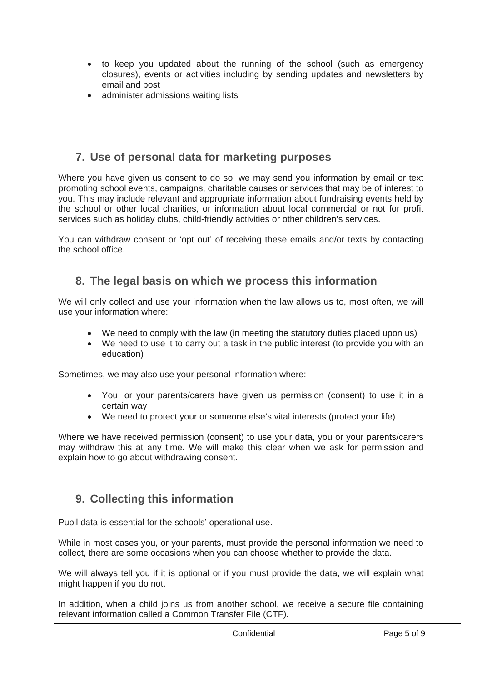- to keep you updated about the running of the school (such as emergency closures), events or activities including by sending updates and newsletters by email and post
- administer admissions waiting lists

#### **7. Use of personal data for marketing purposes**

Where you have given us consent to do so, we may send you information by email or text promoting school events, campaigns, charitable causes or services that may be of interest to you. This may include relevant and appropriate information about fundraising events held by the school or other local charities, or information about local commercial or not for profit services such as holiday clubs, child-friendly activities or other children's services.

You can withdraw consent or 'opt out' of receiving these emails and/or texts by contacting the school office.

#### **8. The legal basis on which we process this information**

We will only collect and use your information when the law allows us to, most often, we will use your information where:

- We need to comply with the law (in meeting the statutory duties placed upon us)
- We need to use it to carry out a task in the public interest (to provide you with an education)

Sometimes, we may also use your personal information where:

- You, or your parents/carers have given us permission (consent) to use it in a certain way
- We need to protect your or someone else's vital interests (protect your life)

Where we have received permission (consent) to use your data, you or your parents/carers may withdraw this at any time. We will make this clear when we ask for permission and explain how to go about withdrawing consent.

#### **9. Collecting this information**

Pupil data is essential for the schools' operational use.

While in most cases you, or your parents, must provide the personal information we need to collect, there are some occasions when you can choose whether to provide the data.

We will always tell you if it is optional or if you must provide the data, we will explain what might happen if you do not.

In addition, when a child joins us from another school, we receive a secure file containing relevant information called a Common Transfer File (CTF).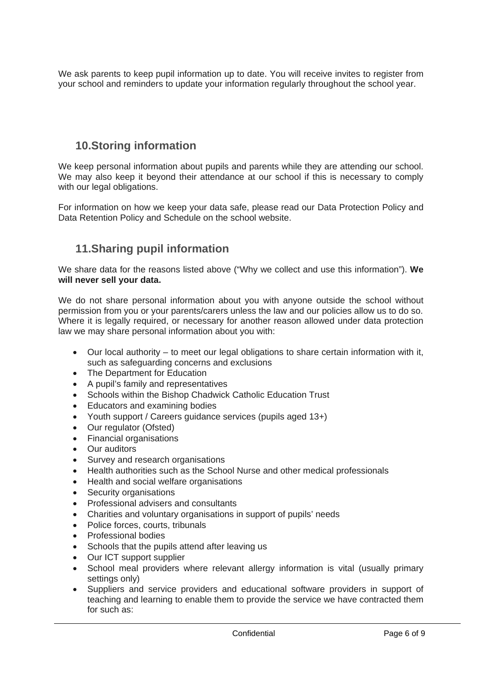We ask parents to keep pupil information up to date. You will receive invites to register from your school and reminders to update your information regularly throughout the school year.

## **10.Storing information**

We keep personal information about pupils and parents while they are attending our school. We may also keep it beyond their attendance at our school if this is necessary to comply with our legal obligations.

For information on how we keep your data safe, please read our Data Protection Policy and Data Retention Policy and Schedule on the school website.

## **11.Sharing pupil information**

We share data for the reasons listed above ("Why we collect and use this information"). **We will never sell your data.**

We do not share personal information about you with anyone outside the school without permission from you or your parents/carers unless the law and our policies allow us to do so. Where it is legally required, or necessary for another reason allowed under data protection law we may share personal information about you with:

- Our local authority to meet our legal obligations to share certain information with it, such as safeguarding concerns and exclusions
- The Department for Education
- A pupil's family and representatives
- Schools within the Bishop Chadwick Catholic Education Trust
- Educators and examining bodies
- Youth support / Careers guidance services (pupils aged 13+)
- Our regulator (Ofsted)
- Financial organisations
- Our auditors
- Survey and research organisations
- Health authorities such as the School Nurse and other medical professionals
- Health and social welfare organisations
- Security organisations
- Professional advisers and consultants
- Charities and voluntary organisations in support of pupils' needs
- Police forces, courts, tribunals
- Professional bodies
- Schools that the pupils attend after leaving us
- Our ICT support supplier
- School meal providers where relevant allergy information is vital (usually primary settings only)
- Suppliers and service providers and educational software providers in support of teaching and learning to enable them to provide the service we have contracted them for such as: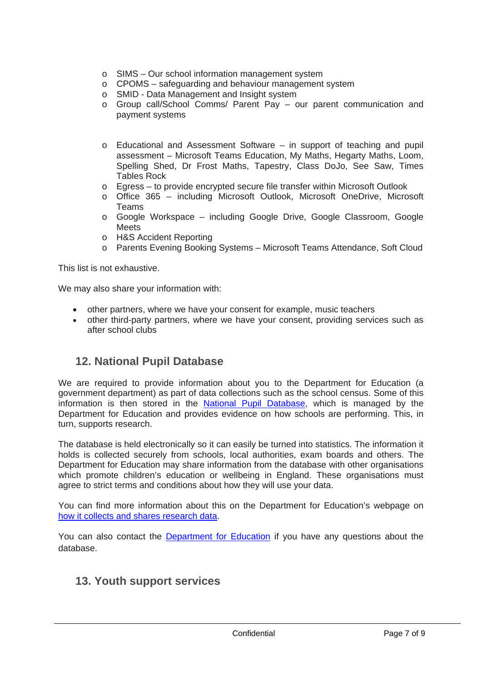- o SIMS Our school information management system
- o CPOMS safeguarding and behaviour management system
- o SMID Data Management and Insight system
- o Group call/School Comms/ Parent Pay our parent communication and payment systems
- o Educational and Assessment Software in support of teaching and pupil assessment – Microsoft Teams Education, My Maths, Hegarty Maths, Loom, Spelling Shed, Dr Frost Maths, Tapestry, Class DoJo, See Saw, Times Tables Rock
- o Egress to provide encrypted secure file transfer within Microsoft Outlook
- o Office 365 including Microsoft Outlook, Microsoft OneDrive, Microsoft Teams
- o Google Workspace including Google Drive, Google Classroom, Google **Meets**
- o H&S Accident Reporting
- o Parents Evening Booking Systems Microsoft Teams Attendance, Soft Cloud

This list is not exhaustive.

We may also share your information with:

- other partners, where we have your consent for example, music teachers
- other third-party partners, where we have your consent, providing services such as after school clubs

#### **12. National Pupil Database**

We are required to provide information about you to the Department for Education (a government department) as part of data collections such as the school census. Some of this information is then stored in the [National Pupil Database,](https://www.gov.uk/guidance/how-to-access-department-for-education-dfe-data-extracts) which is managed by the Department for Education and provides evidence on how schools are performing. This, in turn, supports research.

The database is held electronically so it can easily be turned into statistics. The information it holds is collected securely from schools, local authorities, exam boards and others. The Department for Education may share information from the database with other organisations which promote children's education or wellbeing in England. These organisations must agree to strict terms and conditions about how they will use your data.

You can find more information about this on the Department for Education's webpage on [how it collects and shares research data.](https://www.gov.uk/guidance/data-protection-how-we-collect-and-share-research-data)

You can also contact the [Department for Education](https://www.gov.uk/contact-dfe) if you have any questions about the database.

#### **13. Youth support services**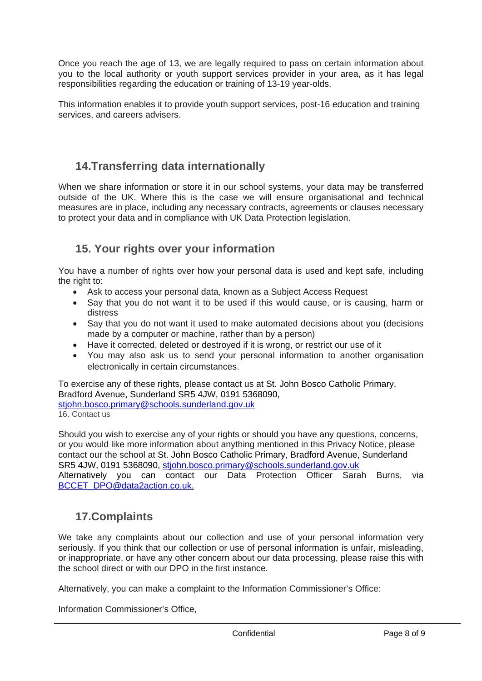Once you reach the age of 13, we are legally required to pass on certain information about you to the local authority or youth support services provider in your area, as it has legal responsibilities regarding the education or training of 13-19 year-olds.

This information enables it to provide youth support services, post-16 education and training services, and careers advisers.

## **14.Transferring data internationally**

When we share information or store it in our school systems, your data may be transferred outside of the UK. Where this is the case we will ensure organisational and technical measures are in place, including any necessary contracts, agreements or clauses necessary to protect your data and in compliance with UK Data Protection legislation.

## **15. Your rights over your information**

You have a number of rights over how your personal data is used and kept safe, including the right to:

- Ask to access your personal data, known as a Subject Access Request
- Say that you do not want it to be used if this would cause, or is causing, harm or distress
- Say that you do not want it used to make automated decisions about you (decisions made by a computer or machine, rather than by a person)
- Have it corrected, deleted or destroyed if it is wrong, or restrict our use of it
- You may also ask us to send your personal information to another organisation electronically in certain circumstances.

To exercise any of these rights, please contact us at St. John Bosco Catholic Primary, Bradford Avenue, Sunderland SR5 4JW, 0191 5368090, [stjohn.bosco.primary@schools.sunderland.gov.uk](mailto:stjohn.bosco.primary@schools.sunderland.gov.uk) 16. Contact us

Should you wish to exercise any of your rights or should you have any questions, concerns, or you would like more information about anything mentioned in this Privacy Notice, please contact our the school at St. John Bosco Catholic Primary, Bradford Avenue, Sunderland SR5 4JW, 0191 5368090, [stjohn.bosco.primary@schools.sunderland.gov.uk](mailto:stjohn.bosco.primary@schools.sunderland.gov.uk) Alternatively you can contact our Data Protection Officer Sarah Burns, via [BCCET\\_DPO@data2action.co.uk.](mailto:BCCET_DPO@data2action.co.uk)

## **17.Complaints**

We take any complaints about our collection and use of your personal information very seriously. If you think that our collection or use of personal information is unfair, misleading, or inappropriate, or have any other concern about our data processing, please raise this with the school direct or with our DPO in the first instance.

Alternatively, you can make a complaint to the Information Commissioner's Office:

Information Commissioner's Office,